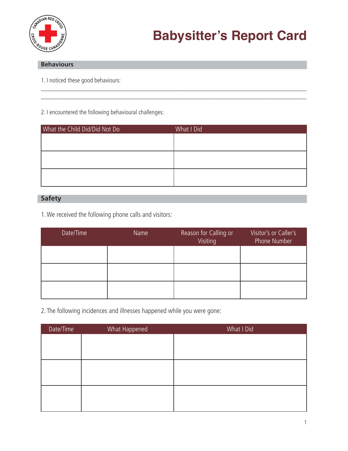

## **Behaviours**

1. I noticed these good behaviours:

## 2. I encountered the following behavioural challenges:

| What the Child Did/Did Not Do | What I Did |
|-------------------------------|------------|
|                               |            |
|                               |            |
|                               |            |
|                               |            |
|                               |            |
|                               |            |

\_\_\_\_\_\_\_\_\_\_\_\_\_\_\_\_\_\_\_\_\_\_\_\_\_\_\_\_\_\_\_\_\_\_\_\_\_\_\_\_\_\_\_\_\_\_\_\_\_\_\_\_\_\_\_\_\_\_\_\_\_\_\_\_\_\_\_\_\_\_\_\_\_\_\_\_\_\_\_\_\_\_\_\_\_ \_\_\_\_\_\_\_\_\_\_\_\_\_\_\_\_\_\_\_\_\_\_\_\_\_\_\_\_\_\_\_\_\_\_\_\_\_\_\_\_\_\_\_\_\_\_\_\_\_\_\_\_\_\_\_\_\_\_\_\_\_\_\_\_\_\_\_\_\_\_\_\_\_\_\_\_\_\_\_\_\_\_\_\_\_

## **Safety**

1. We received the following phone calls and visitors:

| Date/Time | Name | Reason for Calling or<br>Visiting | Visitor's or Caller's<br>Phone Number |
|-----------|------|-----------------------------------|---------------------------------------|
|           |      |                                   |                                       |
|           |      |                                   |                                       |
|           |      |                                   |                                       |

2. The following incidences and illnesses happened while you were gone:

| Date/Time | What Happened | What I Did |
|-----------|---------------|------------|
|           |               |            |
|           |               |            |
|           |               |            |
|           |               |            |
|           |               |            |
|           |               |            |